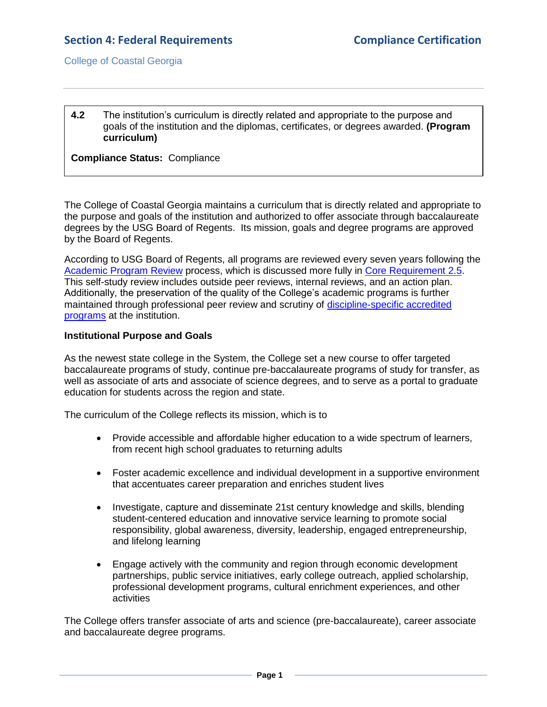College of Coastal Georgia

# **4.2** The institution's curriculum is directly related and appropriate to the purpose and goals of the institution and the diplomas, certificates, or degrees awarded. **(Program curriculum)**

**Compliance Status:** Compliance

The College of Coastal Georgia maintains a curriculum that is directly related and appropriate to the purpose and goals of the institution and authorized to offer associate through baccalaureate degrees by the USG Board of Regents. Its mission, goals and degree programs are approved by the Board of Regents.

According to USG Board of Regents, all programs are reviewed every seven years following the [Academic Program Review](2.7.2.cUSGAAhandbook2.3.6.pdf#page=3) process, which is discussed more fully in [Core Requirement 2.5.](2.5.pdf#page=1) This self-study review includes outside peer reviews, internal reviews, and an action plan. Additionally, the preservation of the quality of the College's academic programs is further maintained through professional peer review and scrutiny of [discipline-specific accredited](ProgramSpecialAccreditation.pdf#page=1)  [programs](ProgramSpecialAccreditation.pdf#page=1) at the institution.

# **Institutional Purpose and Goals**

As the newest state college in the System, the College set a new course to offer targeted baccalaureate programs of study, continue pre-baccalaureate programs of study for transfer, as well as associate of arts and associate of science degrees, and to serve as a portal to graduate education for students across the region and state.

The curriculum of the College reflects its mission, which is to

- Provide accessible and affordable higher education to a wide spectrum of learners, from recent high school graduates to returning adults
- Foster academic excellence and individual development in a supportive environment that accentuates career preparation and enriches student lives
- Investigate, capture and disseminate 21st century knowledge and skills, blending student-centered education and innovative service learning to promote social responsibility, global awareness, diversity, leadership, engaged entrepreneurship, and lifelong learning
- Engage actively with the community and region through economic development partnerships, public service initiatives, early college outreach, applied scholarship, professional development programs, cultural enrichment experiences, and other activities

The College offers transfer associate of arts and science (pre-baccalaureate), career associate and baccalaureate degree programs.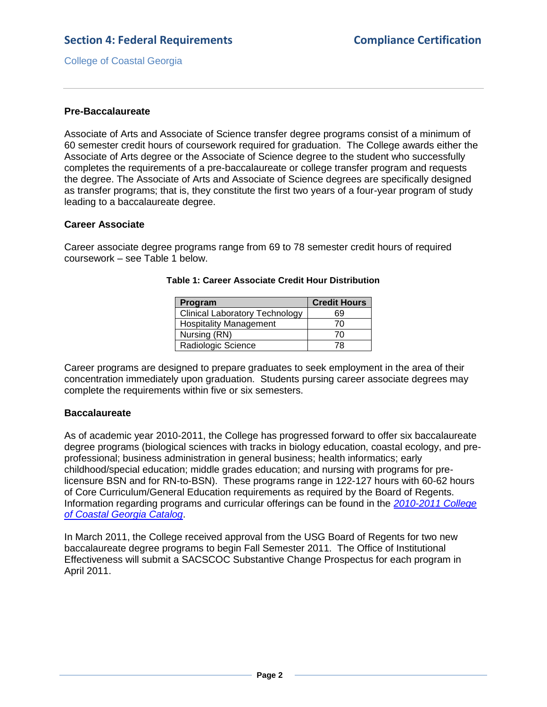College of Coastal Georgia

# **Pre-Baccalaureate**

Associate of Arts and Associate of Science transfer degree programs consist of a minimum of 60 semester credit hours of coursework required for graduation. The College awards either the Associate of Arts degree or the Associate of Science degree to the student who successfully completes the requirements of a pre-baccalaureate or college transfer program and requests the degree. The Associate of Arts and Associate of Science degrees are specifically designed as transfer programs; that is, they constitute the first two years of a four-year program of study leading to a baccalaureate degree.

# **Career Associate**

Career associate degree programs range from 69 to 78 semester credit hours of required coursework – see Table 1 below.

| Program                               | <b>Credit Hours</b> |
|---------------------------------------|---------------------|
| <b>Clinical Laboratory Technology</b> | 69                  |
| <b>Hospitality Management</b>         | 70                  |
| Nursing (RN)                          | 70                  |
| Radiologic Science                    | 78.                 |

#### **Table 1: Career Associate Credit Hour Distribution**

Career programs are designed to prepare graduates to seek employment in the area of their concentration immediately upon graduation. Students pursing career associate degrees may complete the requirements within five or six semesters.

#### **Baccalaureate**

As of academic year 2010-2011, the College has progressed forward to offer six baccalaureate degree programs (biological sciences with tracks in biology education, coastal ecology, and preprofessional; business administration in general business; health informatics; early childhood/special education; middle grades education; and nursing with programs for prelicensure BSN and for RN-to-BSN). These programs range in 122-127 hours with 60-62 hours of Core Curriculum/General Education requirements as required by the Board of Regents. Information regarding programs and curricular offerings can be found in the *[2010-2011 College](CCGAcatalog.pdf#page=54)  [of Coastal Georgia Catalog](CCGAcatalog.pdf#page=54)*.

In March 2011, the College received approval from the USG Board of Regents for two new baccalaureate degree programs to begin Fall Semester 2011. The Office of Institutional Effectiveness will submit a SACSCOC Substantive Change Prospectus for each program in April 2011.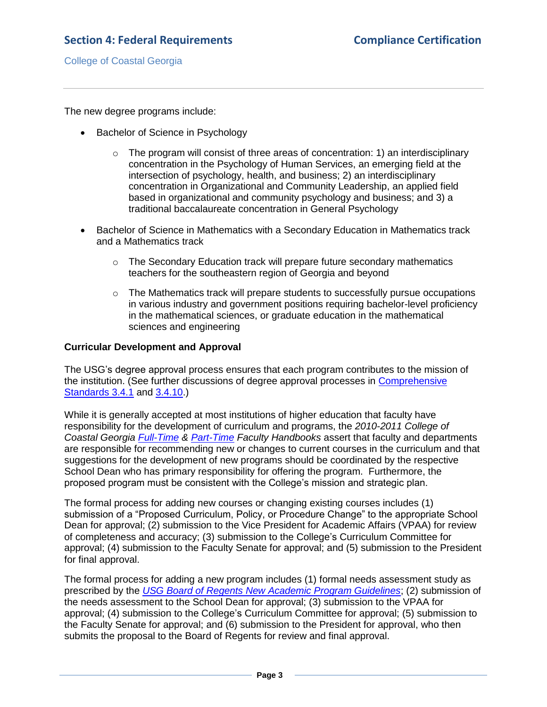College of Coastal Georgia

The new degree programs include:

- Bachelor of Science in Psychology
	- $\circ$  The program will consist of three areas of concentration: 1) an interdisciplinary concentration in the Psychology of Human Services, an emerging field at the intersection of psychology, health, and business; 2) an interdisciplinary concentration in Organizational and Community Leadership, an applied field based in organizational and community psychology and business; and 3) a traditional baccalaureate concentration in General Psychology
- Bachelor of Science in Mathematics with a Secondary Education in Mathematics track and a Mathematics track
	- $\circ$  The Secondary Education track will prepare future secondary mathematics teachers for the southeastern region of Georgia and beyond
	- $\circ$  The Mathematics track will prepare students to successfully pursue occupations in various industry and government positions requiring bachelor-level proficiency in the mathematical sciences, or graduate education in the mathematical sciences and engineering

#### **Curricular Development and Approval**

The USG's degree approval process ensures that each program contributes to the mission of the institution. (See further discussions of degree approval processes in [Comprehensive](3.4.1.pdf#page=1)  [Standards 3.4.1](3.4.1.pdf#page=1) and [3.4.10.](3.4.10.pdf#page=1))

While it is generally accepted at most institutions of higher education that faculty have responsibility for the development of curriculum and programs, the *2010-2011 College of Coastal Georgia [Full-Time](FTfacultyhandbook.pdf#page=38) & [Part-Time](PTfacultyhandbook.pdf#page=19) Faculty Handbooks* assert that faculty and departments are responsible for recommending new or changes to current courses in the curriculum and that suggestions for the development of new programs should be coordinated by the respective School Dean who has primary responsibility for offering the program. Furthermore, the proposed program must be consistent with the College's mission and strategic plan.

The formal process for adding new courses or changing existing courses includes (1) submission of a "Proposed Curriculum, Policy, or Procedure Change" to the appropriate School Dean for approval; (2) submission to the Vice President for Academic Affairs (VPAA) for review of completeness and accuracy; (3) submission to the College's Curriculum Committee for approval; (4) submission to the Faculty Senate for approval; and (5) submission to the President for final approval.

The formal process for adding a new program includes (1) formal needs assessment study as prescribed by the *[USG Board of Regents New Academic Program Guidelines](4.2.fNewProgramCriteria.pdf#page=1)*; (2) submission of the needs assessment to the School Dean for approval; (3) submission to the VPAA for approval; (4) submission to the College's Curriculum Committee for approval; (5) submission to the Faculty Senate for approval; and (6) submission to the President for approval, who then submits the proposal to the Board of Regents for review and final approval.